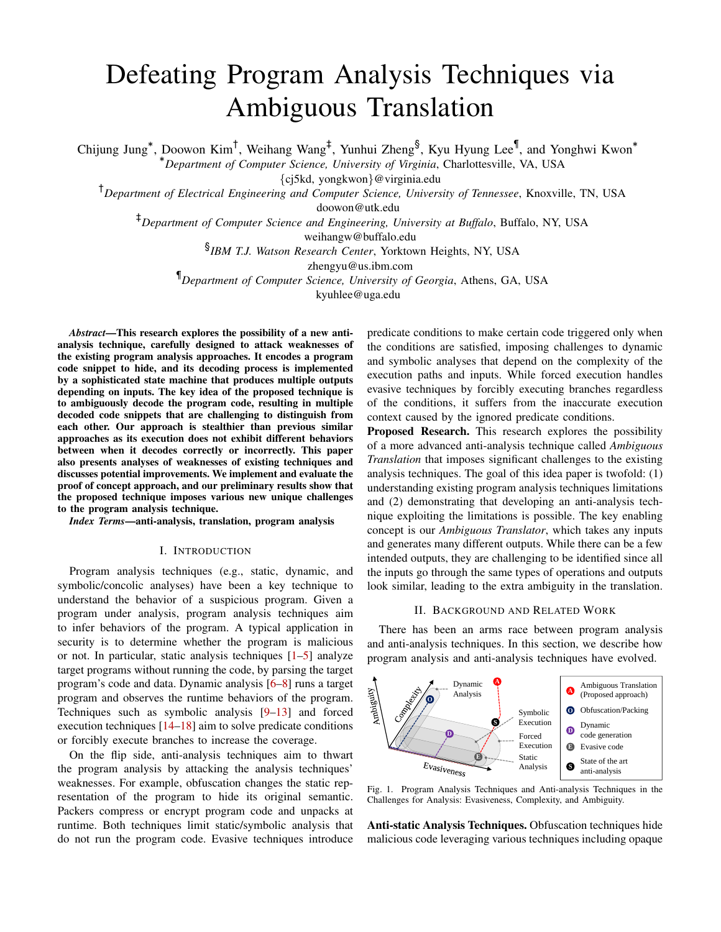# Defeating Program Analysis Techniques via Ambiguous Translation

Chijung Jung<sup>\*</sup>, Doowon Kim<sup>†</sup>, Weihang Wang<sup>‡</sup>, Yunhui Zheng<sup>§</sup>, Kyu Hyung Lee¶, and Yonghwi Kwon<sup>\*</sup>

<sup>∗</sup>*Department of Computer Science, University of Virginia*, Charlottesville, VA, USA

{cj5kd, yongkwon}@virginia.edu

†*Department of Electrical Engineering and Computer Science, University of Tennessee*, Knoxville, TN, USA

doowon@utk.edu

‡*Department of Computer Science and Engineering, University at Buffalo*, Buffalo, NY, USA

weihangw@buffalo.edu

§ *IBM T.J. Watson Research Center*, Yorktown Heights, NY, USA

zhengyu@us.ibm.com

¶*Department of Computer Science, University of Georgia*, Athens, GA, USA

kyuhlee@uga.edu

*Abstract*—This research explores the possibility of a new antianalysis technique, carefully designed to attack weaknesses of the existing program analysis approaches. It encodes a program code snippet to hide, and its decoding process is implemented by a sophisticated state machine that produces multiple outputs depending on inputs. The key idea of the proposed technique is to ambiguously decode the program code, resulting in multiple decoded code snippets that are challenging to distinguish from each other. Our approach is stealthier than previous similar approaches as its execution does not exhibit different behaviors between when it decodes correctly or incorrectly. This paper also presents analyses of weaknesses of existing techniques and discusses potential improvements. We implement and evaluate the proof of concept approach, and our preliminary results show that the proposed technique imposes various new unique challenges to the program analysis technique.

*Index Terms*—anti-analysis, translation, program analysis

# I. INTRODUCTION

Program analysis techniques (e.g., static, dynamic, and symbolic/concolic analyses) have been a key technique to understand the behavior of a suspicious program. Given a program under analysis, program analysis techniques aim to infer behaviors of the program. A typical application in security is to determine whether the program is malicious or not. In particular, static analysis techniques [\[1](#page-4-0)[–5\]](#page-4-1) analyze target programs without running the code, by parsing the target program's code and data. Dynamic analysis [\[6–](#page-4-2)[8\]](#page-4-3) runs a target program and observes the runtime behaviors of the program. Techniques such as symbolic analysis [\[9](#page-4-4)[–13\]](#page-4-5) and forced execution techniques [\[14](#page-4-6)[–18\]](#page-4-7) aim to solve predicate conditions or forcibly execute branches to increase the coverage.

On the flip side, anti-analysis techniques aim to thwart the program analysis by attacking the analysis techniques' weaknesses. For example, obfuscation changes the static representation of the program to hide its original semantic. Packers compress or encrypt program code and unpacks at runtime. Both techniques limit static/symbolic analysis that do not run the program code. Evasive techniques introduce

predicate conditions to make certain code triggered only when the conditions are satisfied, imposing challenges to dynamic and symbolic analyses that depend on the complexity of the execution paths and inputs. While forced execution handles evasive techniques by forcibly executing branches regardless of the conditions, it suffers from the inaccurate execution context caused by the ignored predicate conditions.

Proposed Research. This research explores the possibility of a more advanced anti-analysis technique called *Ambiguous Translation* that imposes significant challenges to the existing analysis techniques. The goal of this idea paper is twofold: (1) understanding existing program analysis techniques limitations and (2) demonstrating that developing an anti-analysis technique exploiting the limitations is possible. The key enabling concept is our *Ambiguous Translator*, which takes any inputs and generates many different outputs. While there can be a few intended outputs, they are challenging to be identified since all the inputs go through the same types of operations and outputs look similar, leading to the extra ambiguity in the translation.

# II. BACKGROUND AND RELATED WORK

There has been an arms race between program analysis and anti-analysis techniques. In this section, we describe how program analysis and anti-analysis techniques have evolved.



<span id="page-0-0"></span>Fig. 1. Program Analysis Techniques and Anti-analysis Techniques in the Challenges for Analysis: Evasiveness, Complexity, and Ambiguity.

Anti-static Analysis Techniques. Obfuscation techniques hide malicious code leveraging various techniques including opaque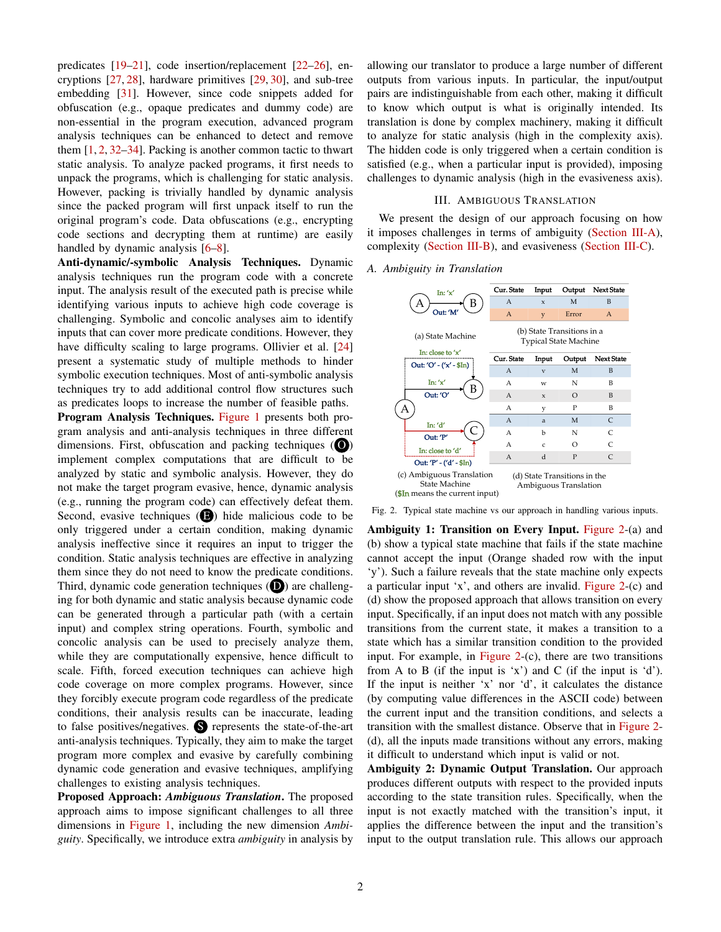predicates [\[19–](#page-4-8)[21\]](#page-4-9), code insertion/replacement [\[22–](#page-4-10)[26\]](#page-4-11), encryptions [\[27,](#page-4-12) [28\]](#page-4-13), hardware primitives [\[29,](#page-4-14) [30\]](#page-5-0), and sub-tree embedding [\[31\]](#page-5-1). However, since code snippets added for obfuscation (e.g., opaque predicates and dummy code) are non-essential in the program execution, advanced program analysis techniques can be enhanced to detect and remove them  $[1, 2, 32-34]$  $[1, 2, 32-34]$  $[1, 2, 32-34]$  $[1, 2, 32-34]$  $[1, 2, 32-34]$  $[1, 2, 32-34]$ . Packing is another common tactic to thwart static analysis. To analyze packed programs, it first needs to unpack the programs, which is challenging for static analysis. However, packing is trivially handled by dynamic analysis since the packed program will first unpack itself to run the original program's code. Data obfuscations (e.g., encrypting code sections and decrypting them at runtime) are easily handled by dynamic analysis [\[6](#page-4-2)[–8\]](#page-4-3).

Anti-dynamic/-symbolic Analysis Techniques. Dynamic analysis techniques run the program code with a concrete input. The analysis result of the executed path is precise while identifying various inputs to achieve high code coverage is challenging. Symbolic and concolic analyses aim to identify inputs that can cover more predicate conditions. However, they have difficulty scaling to large programs. Ollivier et al. [\[24\]](#page-4-16) present a systematic study of multiple methods to hinder symbolic execution techniques. Most of anti-symbolic analysis techniques try to add additional control flow structures such as predicates loops to increase the number of feasible paths. Program Analysis Techniques. [Figure 1](#page-0-0) presents both program analysis and anti-analysis techniques in three different dimensions. First, obfuscation and packing techniques  $\left( \bigcirc \right)$ implement complex computations that are difficult to be analyzed by static and symbolic analysis. However, they do not make the target program evasive, hence, dynamic analysis (e.g., running the program code) can effectively defeat them. Second, evasive techniques  $\left( \bigcirc \right)$  hide malicious code to be only triggered under a certain condition, making dynamic analysis ineffective since it requires an input to trigger the condition. Static analysis techniques are effective in analyzing them since they do not need to know the predicate conditions. Third, dynamic code generation techniques  $(\mathbf{D})$  are challenging for both dynamic and static analysis because dynamic code can be generated through a particular path (with a certain input) and complex string operations. Fourth, symbolic and concolic analysis can be used to precisely analyze them, while they are computationally expensive, hence difficult to scale. Fifth, forced execution techniques can achieve high code coverage on more complex programs. However, since they forcibly execute program code regardless of the predicate conditions, their analysis results can be inaccurate, leading to false positives/negatives. S represents the state-of-the-art anti-analysis techniques. Typically, they aim to make the target program more complex and evasive by carefully combining dynamic code generation and evasive techniques, amplifying challenges to existing analysis techniques.

Proposed Approach: *Ambiguous Translation*. The proposed approach aims to impose significant challenges to all three dimensions in [Figure 1,](#page-0-0) including the new dimension *Ambiguity*. Specifically, we introduce extra *ambiguity* in analysis by allowing our translator to produce a large number of different outputs from various inputs. In particular, the input/output pairs are indistinguishable from each other, making it difficult to know which output is what is originally intended. Its translation is done by complex machinery, making it difficult to analyze for static analysis (high in the complexity axis). The hidden code is only triggered when a certain condition is satisfied (e.g., when a particular input is provided), imposing challenges to dynamic analysis (high in the evasiveness axis).

# III. AMBIGUOUS TRANSLATION

We present the design of our approach focusing on how it imposes challenges in terms of ambiguity [\(Section III-A\)](#page-1-0), complexity [\(Section III-B\)](#page-2-0), and evasiveness [\(Section III-C\)](#page-2-1).

#### <span id="page-1-0"></span>*A. Ambiguity in Translation*



<span id="page-1-1"></span>Fig. 2. Typical state machine vs our approach in handling various inputs.

Ambiguity 1: Transition on Every Input. [Figure 2-](#page-1-1)(a) and (b) show a typical state machine that fails if the state machine cannot accept the input (Orange shaded row with the input 'y'). Such a failure reveals that the state machine only expects a particular input 'x', and others are invalid. [Figure 2-](#page-1-1)(c) and (d) show the proposed approach that allows transition on every input. Specifically, if an input does not match with any possible transitions from the current state, it makes a transition to a state which has a similar transition condition to the provided input. For example, in [Figure 2-](#page-1-1)(c), there are two transitions from A to B (if the input is 'x') and C (if the input is 'd'). If the input is neither 'x' nor 'd', it calculates the distance (by computing value differences in the ASCII code) between the current input and the transition conditions, and selects a transition with the smallest distance. Observe that in [Figure 2-](#page-1-1) (d), all the inputs made transitions without any errors, making it difficult to understand which input is valid or not.

Ambiguity 2: Dynamic Output Translation. Our approach produces different outputs with respect to the provided inputs according to the state transition rules. Specifically, when the input is not exactly matched with the transition's input, it applies the difference between the input and the transition's input to the output translation rule. This allows our approach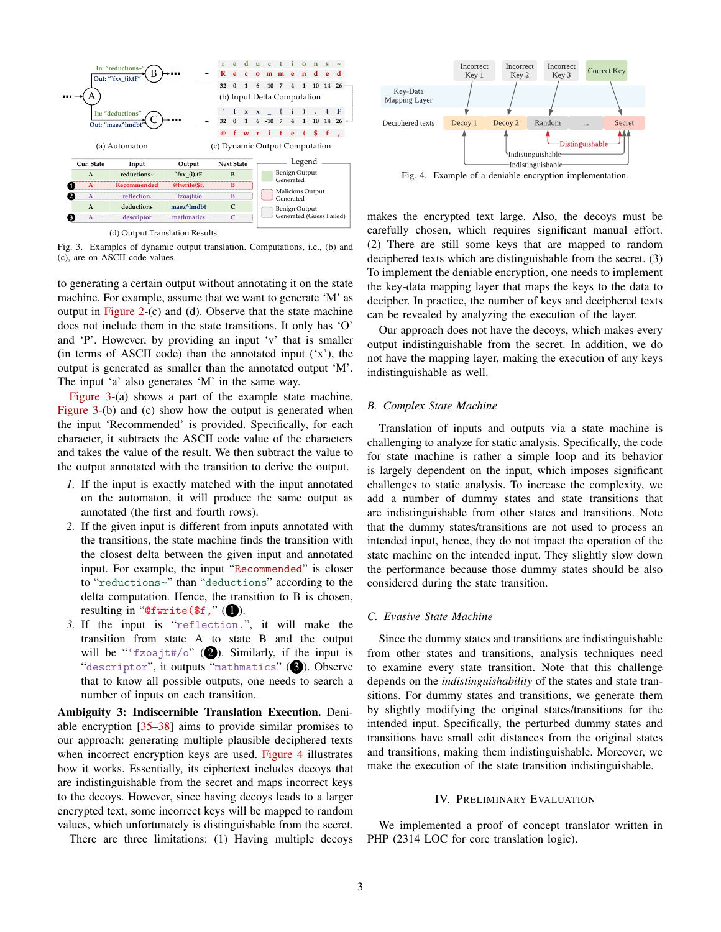

<span id="page-2-2"></span>(d) Output Translation Results

Fig. 3. Examples of dynamic output translation. Computations, i.e., (b) and (c), are on ASCII code values.

to generating a certain output without annotating it on the state machine. For example, assume that we want to generate 'M' as output in [Figure 2-](#page-1-1)(c) and (d). Observe that the state machine does not include them in the state transitions. It only has 'O' and 'P'. However, by providing an input 'v' that is smaller (in terms of ASCII code) than the annotated input  $(x)$ , the output is generated as smaller than the annotated output 'M'. The input 'a' also generates 'M' in the same way.

[Figure 3-](#page-2-2)(a) shows a part of the example state machine. [Figure 3-](#page-2-2)(b) and (c) show how the output is generated when the input 'Recommended' is provided. Specifically, for each character, it subtracts the ASCII code value of the characters and takes the value of the result. We then subtract the value to the output annotated with the transition to derive the output.

- *1.* If the input is exactly matched with the input annotated on the automaton, it will produce the same output as annotated (the first and fourth rows).
- *2.* If the given input is different from inputs annotated with the transitions, the state machine finds the transition with the closest delta between the given input and annotated input. For example, the input "Recommended" is closer to "reductions∼" than "deductions" according to the delta computation. Hence, the transition to B is chosen, resulting in "Cfwrite( $f$ ," ( $\bullet$ ).
- *3.* If the input is "reflection.", it will make the transition from state A to state B and the output will be "'fzoajt#/o" ( $\bullet$ ). Similarly, if the input is "descriptor", it outputs "mathmatics" (3). Observe that to know all possible outputs, one needs to search a number of inputs on each transition.

Ambiguity 3: Indiscernible Translation Execution. Deniable encryption [\[35](#page-5-4)[–38\]](#page-5-5) aims to provide similar promises to our approach: generating multiple plausible deciphered texts when incorrect encryption keys are used. [Figure 4](#page-2-3) illustrates how it works. Essentially, its ciphertext includes decoys that are indistinguishable from the secret and maps incorrect keys to the decoys. However, since having decoys leads to a larger encrypted text, some incorrect keys will be mapped to random values, which unfortunately is distinguishable from the secret.



<span id="page-2-3"></span>Fig. 4. Example of a deniable encryption implementation.

makes the encrypted text large. Also, the decoys must be carefully chosen, which requires significant manual effort. (2) There are still some keys that are mapped to random deciphered texts which are distinguishable from the secret. (3) To implement the deniable encryption, one needs to implement the key-data mapping layer that maps the keys to the data to decipher. In practice, the number of keys and deciphered texts can be revealed by analyzing the execution of the layer.

Our approach does not have the decoys, which makes every output indistinguishable from the secret. In addition, we do not have the mapping layer, making the execution of any keys indistinguishable as well.

### <span id="page-2-0"></span>*B. Complex State Machine*

Conserved the main of the state is a state of the state. The state is a state of the main of the state of the state of the state of the state of the state of the state of the state of the state of the state of the state o Translation of inputs and outputs via a state machine is challenging to analyze for static analysis. Specifically, the code for state machine is rather a simple loop and its behavior is largely dependent on the input, which imposes significant challenges to static analysis. To increase the complexity, we add a number of dummy states and state transitions that are indistinguishable from other states and transitions. Note that the dummy states/transitions are not used to process an intended input, hence, they do not impact the operation of the state machine on the intended input. They slightly slow down the performance because those dummy states should be also considered during the state transition.

## <span id="page-2-1"></span>*C. Evasive State Machine*

Since the dummy states and transitions are indistinguishable from other states and transitions, analysis techniques need to examine every state transition. Note that this challenge depends on the *indistinguishability* of the states and state transitions. For dummy states and transitions, we generate them by slightly modifying the original states/transitions for the intended input. Specifically, the perturbed dummy states and transitions have small edit distances from the original states and transitions, making them indistinguishable. Moreover, we make the execution of the state transition indistinguishable.

### IV. PRELIMINARY EVALUATION

We implemented a proof of concept translator written in PHP (2314 LOC for core translation logic).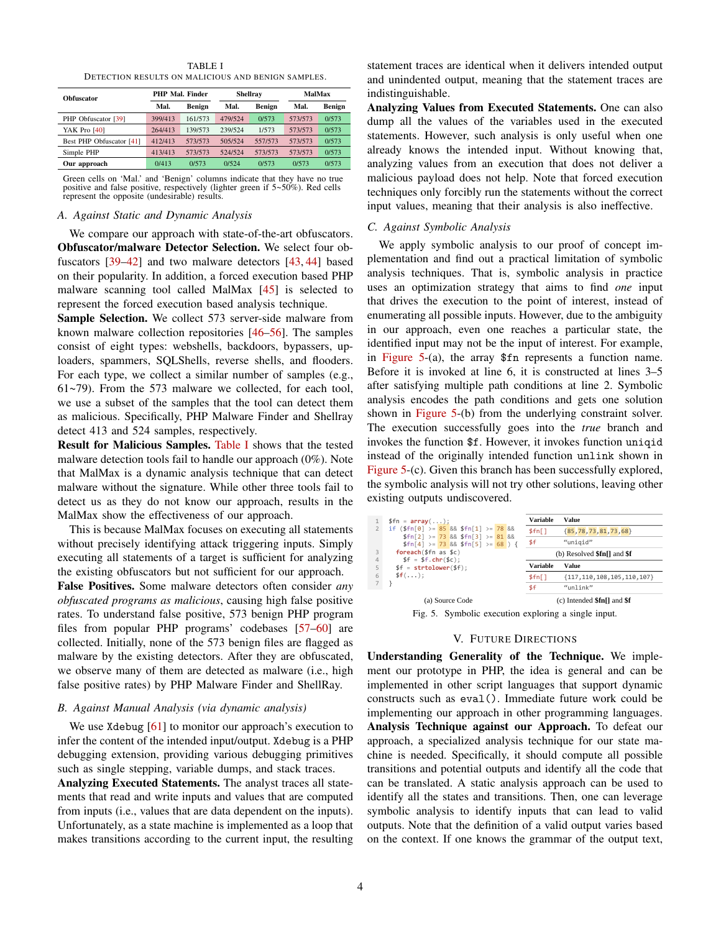TABLE I DETECTION RESULTS ON MALICIOUS AND BENIGN SAMPLES.

<span id="page-3-0"></span>

| <b>Obfuscator</b>        |         | PHP Mal. Finder |                | <b>Shellray</b> | MalMax  |               |
|--------------------------|---------|-----------------|----------------|-----------------|---------|---------------|
|                          | Mal.    | Benign          | Benign<br>Mal. |                 | Mal.    | <b>Benign</b> |
| PHP Obfuscator [39]      | 399/413 | 161/573         | 479/524        | 0/573           | 573/573 | 0/573         |
| YAK Pro [40]             | 264/413 | 139/573         | 239/524        | 1/573           | 573/573 | 0/573         |
| Best PHP Obfuscator [41] | 412/413 | 573/573         | 505/524        | 557/573         | 573/573 | 0/573         |
| Simple PHP               | 413/413 | 573/573         | 524/524        | 573/573         | 573/573 | 0/573         |
| Our approach             | 0/413   | 0/573           | 0/524          | 0/573           | 0/573   | 0/573         |

Green cells on 'Mal.' and 'Benign' columns indicate that they have no true positive and false positive, respectively (lighter green if 5∼50%). Red cells represent the opposite (undesirable) results.

#### *A. Against Static and Dynamic Analysis*

We compare our approach with state-of-the-art obfuscators. Obfuscator/malware Detector Selection. We select four obfuscators [\[39–](#page-5-6)[42\]](#page-5-9) and two malware detectors [\[43,](#page-5-10) [44\]](#page-5-11) based on their popularity. In addition, a forced execution based PHP malware scanning tool called MalMax [\[45\]](#page-5-12) is selected to represent the forced execution based analysis technique.

Sample Selection. We collect 573 server-side malware from known malware collection repositories [\[46](#page-5-13)[–56\]](#page-5-14). The samples consist of eight types: webshells, backdoors, bypassers, uploaders, spammers, SQLShells, reverse shells, and flooders. For each type, we collect a similar number of samples (e.g., 61∼79). From the 573 malware we collected, for each tool, we use a subset of the samples that the tool can detect them as malicious. Specifically, PHP Malware Finder and Shellray detect 413 and 524 samples, respectively.

Result for Malicious Samples. [Table I](#page-3-0) shows that the tested malware detection tools fail to handle our approach (0%). Note that MalMax is a dynamic analysis technique that can detect malware without the signature. While other three tools fail to detect us as they do not know our approach, results in the MalMax show the effectiveness of our approach.

This is because MalMax focuses on executing all statements without precisely identifying attack triggering inputs. Simply executing all statements of a target is sufficient for analyzing the existing obfuscators but not sufficient for our approach. False Positives. Some malware detectors often consider *any obfuscated programs as malicious*, causing high false positive rates. To understand false positive, 573 benign PHP program files from popular PHP programs' codebases [\[57–](#page-5-15)[60\]](#page-5-16) are

collected. Initially, none of the 573 benign files are flagged as malware by the existing detectors. After they are obfuscated, we observe many of them are detected as malware (i.e., high false positive rates) by PHP Malware Finder and ShellRay.

### *B. Against Manual Analysis (via dynamic analysis)*

We use Xdebug [\[61\]](#page-5-17) to monitor our approach's execution to infer the content of the intended input/output. Xdebug is a PHP debugging extension, providing various debugging primitives such as single stepping, variable dumps, and stack traces.

Analyzing Executed Statements. The analyst traces all statements that read and write inputs and values that are computed from inputs (i.e., values that are data dependent on the inputs). Unfortunately, as a state machine is implemented as a loop that makes transitions according to the current input, the resulting statement traces are identical when it delivers intended output and unindented output, meaning that the statement traces are indistinguishable.

Analyzing Values from Executed Statements. One can also dump all the values of the variables used in the executed statements. However, such analysis is only useful when one already knows the intended input. Without knowing that, analyzing values from an execution that does not deliver a malicious payload does not help. Note that forced execution techniques only forcibly run the statements without the correct input values, meaning that their analysis is also ineffective.

# *C. Against Symbolic Analysis*

We apply symbolic analysis to our proof of concept implementation and find out a practical limitation of symbolic analysis techniques. That is, symbolic analysis in practice uses an optimization strategy that aims to find *one* input that drives the execution to the point of interest, instead of enumerating all possible inputs. However, due to the ambiguity in our approach, even one reaches a particular state, the identified input may not be the input of interest. For example, in [Figure 5-](#page-3-1)(a), the array \$fn represents a function name. Before it is invoked at line 6, it is constructed at lines 3–5 after satisfying multiple path conditions at line 2. Symbolic analysis encodes the path conditions and gets one solution shown in [Figure 5-](#page-3-1)(b) from the underlying constraint solver. The execution successfully goes into the *true* branch and invokes the function \$f. However, it invokes function uniqid instead of the originally intended function unlink shown in [Figure 5-](#page-3-1)(c). Given this branch has been successfully explored, the symbolic analysis will not try other solutions, leaving other existing outputs undiscovered.

|   | $$fn = array():$                                                              |  |  |  |  | Variable                         | Value                            |  |
|---|-------------------------------------------------------------------------------|--|--|--|--|----------------------------------|----------------------------------|--|
|   | if $(\frac{1}{2}fn[0]) = 85$ && $\frac{1}{2}fn[1] > = 78$ &&                  |  |  |  |  | \$fn[]                           | ${85,78,73,81,73,68}$            |  |
|   | $$fn[2] > = 73$ && $$fn[3] > = 81$ &&<br>$$fn[4] > = 73$ && \$fn[5] >= 68 ) { |  |  |  |  | \$f                              | "unigid"                         |  |
|   | $foreach(\$fn as \$c)$                                                        |  |  |  |  | (b) Resolved $\sin[$ and $\sin[$ |                                  |  |
|   | $$f = $f \cdot \text{chr}(f)$ ;<br>4<br>$$f = structolower($f)$ ;             |  |  |  |  |                                  |                                  |  |
| 5 |                                                                               |  |  |  |  | <b>Variable</b>                  | Value                            |  |
| 6 | \$f():                                                                        |  |  |  |  | \$fn[]                           | ${117, 110, 108, 105, 110, 107}$ |  |
|   |                                                                               |  |  |  |  | \$f                              | $"$ unlink"                      |  |

Fig. 5. Symbolic execution exploring a single input.

# <span id="page-3-1"></span>V. FUTURE DIRECTIONS

Understanding Generality of the Technique. We implement our prototype in PHP, the idea is general and can be implemented in other script languages that support dynamic constructs such as eval(). Immediate future work could be implementing our approach in other programming languages. Analysis Technique against our Approach. To defeat our approach, a specialized analysis technique for our state machine is needed. Specifically, it should compute all possible transitions and potential outputs and identify all the code that can be translated. A static analysis approach can be used to identify all the states and transitions. Then, one can leverage symbolic analysis to identify inputs that can lead to valid outputs. Note that the definition of a valid output varies based on the context. If one knows the grammar of the output text,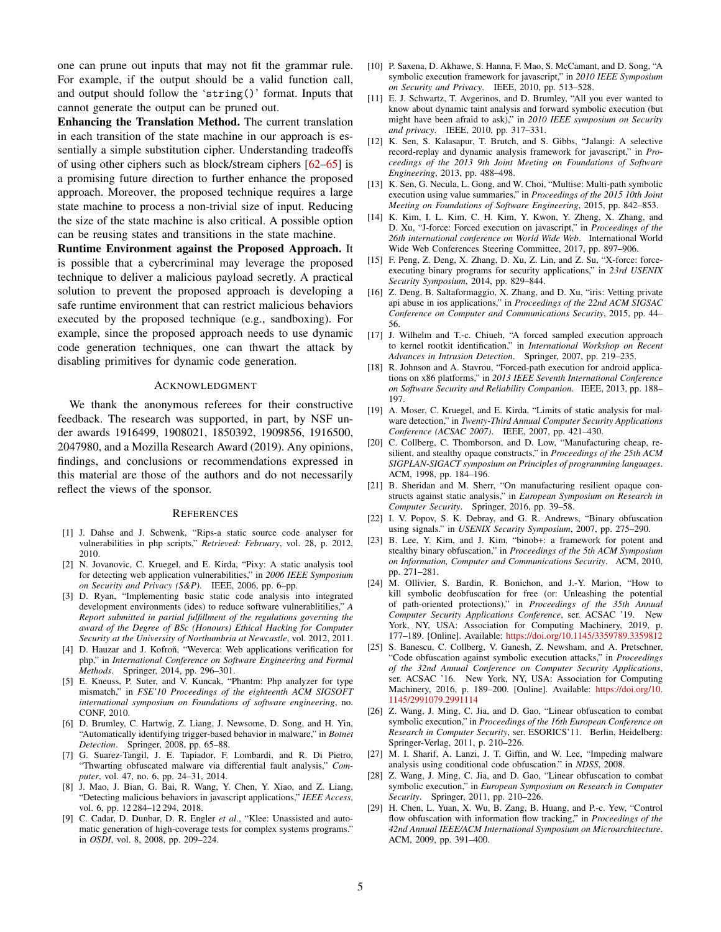one can prune out inputs that may not fit the grammar rule. For example, if the output should be a valid function call, and output should follow the 'string()' format. Inputs that cannot generate the output can be pruned out.

Enhancing the Translation Method. The current translation in each transition of the state machine in our approach is essentially a simple substitution cipher. Understanding tradeoffs of using other ciphers such as block/stream ciphers [\[62](#page-5-18)[–65\]](#page-5-19) is a promising future direction to further enhance the proposed approach. Moreover, the proposed technique requires a large state machine to process a non-trivial size of input. Reducing the size of the state machine is also critical. A possible option can be reusing states and transitions in the state machine.

Runtime Environment against the Proposed Approach. It is possible that a cybercriminal may leverage the proposed technique to deliver a malicious payload secretly. A practical solution to prevent the proposed approach is developing a safe runtime environment that can restrict malicious behaviors executed by the proposed technique (e.g., sandboxing). For example, since the proposed approach needs to use dynamic code generation techniques, one can thwart the attack by disabling primitives for dynamic code generation.

#### ACKNOWLEDGMENT

We thank the anonymous referees for their constructive feedback. The research was supported, in part, by NSF under awards 1916499, 1908021, 1850392, 1909856, 1916500, 2047980, and a Mozilla Research Award (2019). Any opinions, findings, and conclusions or recommendations expressed in this material are those of the authors and do not necessarily reflect the views of the sponsor.

#### **REFERENCES**

- <span id="page-4-0"></span>[1] J. Dahse and J. Schwenk, "Rips-a static source code analyser for vulnerabilities in php scripts," *Retrieved: February*, vol. 28, p. 2012, 2010.
- <span id="page-4-15"></span>[2] N. Jovanovic, C. Kruegel, and E. Kirda, "Pixy: A static analysis tool for detecting web application vulnerabilities," in *2006 IEEE Symposium on Security and Privacy (S&P)*. IEEE, 2006, pp. 6–pp.
- [3] D. Ryan, "Implementing basic static code analysis into integrated development environments (ides) to reduce software vulnerablitilies," *A Report submitted in partial fulfillment of the regulations governing the award of the Degree of BSc (Honours) Ethical Hacking for Computer Security at the University of Northumbria at Newcastle*, vol. 2012, 2011.
- [4] D. Hauzar and J. Kofron, "Weverca: Web applications verification for php," in *International Conference on Software Engineering and Formal Methods*. Springer, 2014, pp. 296–301.
- <span id="page-4-1"></span>[5] E. Kneuss, P. Suter, and V. Kuncak, "Phantm: Php analyzer for type mismatch," in *FSE'10 Proceedings of the eighteenth ACM SIGSOFT international symposium on Foundations of software engineering*, no. CONF, 2010.
- <span id="page-4-2"></span>[6] D. Brumley, C. Hartwig, Z. Liang, J. Newsome, D. Song, and H. Yin, "Automatically identifying trigger-based behavior in malware," in *Botnet Detection*. Springer, 2008, pp. 65–88.
- [7] G. Suarez-Tangil, J. E. Tapiador, F. Lombardi, and R. Di Pietro, "Thwarting obfuscated malware via differential fault analysis," *Computer*, vol. 47, no. 6, pp. 24–31, 2014.
- <span id="page-4-3"></span>[8] J. Mao, J. Bian, G. Bai, R. Wang, Y. Chen, Y. Xiao, and Z. Liang, "Detecting malicious behaviors in javascript applications," *IEEE Access*, vol. 6, pp. 12 284–12 294, 2018.
- <span id="page-4-4"></span>[9] C. Cadar, D. Dunbar, D. R. Engler *et al.*, "Klee: Unassisted and automatic generation of high-coverage tests for complex systems programs." in *OSDI*, vol. 8, 2008, pp. 209–224.
- [10] P. Saxena, D. Akhawe, S. Hanna, F. Mao, S. McCamant, and D. Song, "A symbolic execution framework for javascript," in *2010 IEEE Symposium on Security and Privacy*. IEEE, 2010, pp. 513–528.
- [11] E. J. Schwartz, T. Avgerinos, and D. Brumley, "All you ever wanted to know about dynamic taint analysis and forward symbolic execution (but might have been afraid to ask)," in *2010 IEEE symposium on Security and privacy*. IEEE, 2010, pp. 317–331.
- [12] K. Sen, S. Kalasapur, T. Brutch, and S. Gibbs, "Jalangi: A selective record-replay and dynamic analysis framework for javascript," in *Proceedings of the 2013 9th Joint Meeting on Foundations of Software Engineering*, 2013, pp. 488–498.
- <span id="page-4-5"></span>[13] K. Sen, G. Necula, L. Gong, and W. Choi, "Multise: Multi-path symbolic execution using value summaries," in *Proceedings of the 2015 10th Joint Meeting on Foundations of Software Engineering*, 2015, pp. 842–853.
- <span id="page-4-6"></span>[14] K. Kim, I. L. Kim, C. H. Kim, Y. Kwon, Y. Zheng, X. Zhang, and D. Xu, "J-force: Forced execution on javascript," in *Proceedings of the 26th international conference on World Wide Web*. International World Wide Web Conferences Steering Committee, 2017, pp. 897–906.
- [15] F. Peng, Z. Deng, X. Zhang, D. Xu, Z. Lin, and Z. Su, "X-force: forceexecuting binary programs for security applications," in *23rd USENIX Security Symposium*, 2014, pp. 829–844.
- [16] Z. Deng, B. Saltaformaggio, X. Zhang, and D. Xu, "iris: Vetting private api abuse in ios applications," in *Proceedings of the 22nd ACM SIGSAC Conference on Computer and Communications Security*, 2015, pp. 44– 56.
- [17] J. Wilhelm and T.-c. Chiueh, "A forced sampled execution approach to kernel rootkit identification," in *International Workshop on Recent Advances in Intrusion Detection*. Springer, 2007, pp. 219–235.
- <span id="page-4-7"></span>[18] R. Johnson and A. Stavrou, "Forced-path execution for android applications on x86 platforms," in *2013 IEEE Seventh International Conference on Software Security and Reliability Companion*. IEEE, 2013, pp. 188– 197.
- <span id="page-4-8"></span>[19] A. Moser, C. Kruegel, and E. Kirda, "Limits of static analysis for malware detection," in *Twenty-Third Annual Computer Security Applications Conference (ACSAC 2007)*. IEEE, 2007, pp. 421–430.
- [20] C. Collberg, C. Thomborson, and D. Low, "Manufacturing cheap, resilient, and stealthy opaque constructs," in *Proceedings of the 25th ACM SIGPLAN-SIGACT symposium on Principles of programming languages*. ACM, 1998, pp. 184–196.
- <span id="page-4-9"></span>[21] B. Sheridan and M. Sherr, "On manufacturing resilient opaque constructs against static analysis," in *European Symposium on Research in Computer Security*. Springer, 2016, pp. 39–58.
- <span id="page-4-10"></span>[22] I. V. Popov, S. K. Debray, and G. R. Andrews, "Binary obfuscation using signals." in *USENIX Security Symposium*, 2007, pp. 275–290.
- [23] B. Lee, Y. Kim, and J. Kim, "binob+: a framework for potent and stealthy binary obfuscation," in *Proceedings of the 5th ACM Symposium on Information, Computer and Communications Security*. ACM, 2010, pp. 271–281.
- <span id="page-4-16"></span>[24] M. Ollivier, S. Bardin, R. Bonichon, and J.-Y. Marion, "How to kill symbolic deobfuscation for free (or: Unleashing the potential of path-oriented protections)," in *Proceedings of the 35th Annual Computer Security Applications Conference*, ser. ACSAC '19. New York, NY, USA: Association for Computing Machinery, 2019, p. 177–189. [Online]. Available: <https://doi.org/10.1145/3359789.3359812>
- [25] S. Banescu, C. Collberg, V. Ganesh, Z. Newsham, and A. Pretschner, "Code obfuscation against symbolic execution attacks," in *Proceedings of the 32nd Annual Conference on Computer Security Applications*, ser. ACSAC '16. New York, NY, USA: Association for Computing Machinery, 2016, p. 189–200. [Online]. Available: [https://doi.org/10.](https://doi.org/10.1145/2991079.2991114) [1145/2991079.2991114](https://doi.org/10.1145/2991079.2991114)
- <span id="page-4-11"></span>[26] Z. Wang, J. Ming, C. Jia, and D. Gao, "Linear obfuscation to combat symbolic execution," in *Proceedings of the 16th European Conference on Research in Computer Security*, ser. ESORICS'11. Berlin, Heidelberg: Springer-Verlag, 2011, p. 210–226.
- <span id="page-4-12"></span>[27] M. I. Sharif, A. Lanzi, J. T. Giffin, and W. Lee, "Impeding malware analysis using conditional code obfuscation." in *NDSS*, 2008.
- <span id="page-4-13"></span>[28] Z. Wang, J. Ming, C. Jia, and D. Gao, "Linear obfuscation to combat symbolic execution," in *European Symposium on Research in Computer Security*. Springer, 2011, pp. 210–226.
- <span id="page-4-14"></span>[29] H. Chen, L. Yuan, X. Wu, B. Zang, B. Huang, and P.-c. Yew, "Control flow obfuscation with information flow tracking," in *Proceedings of the 42nd Annual IEEE/ACM International Symposium on Microarchitecture*. ACM, 2009, pp. 391–400.